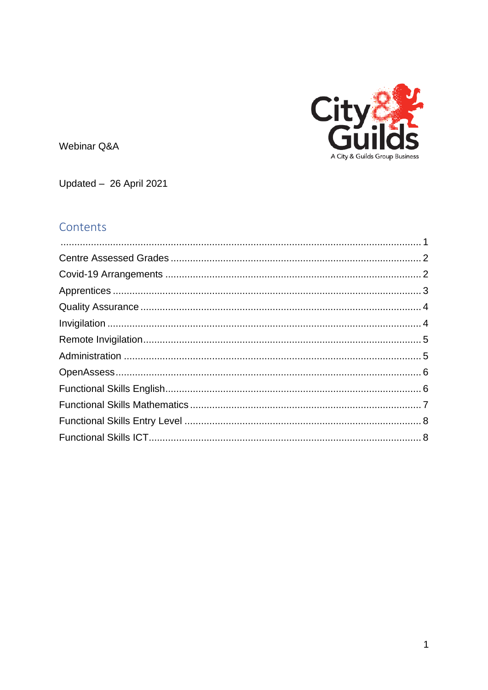

<span id="page-0-0"></span>Webinar Q&A

Updated - 26 April 2021

# Contents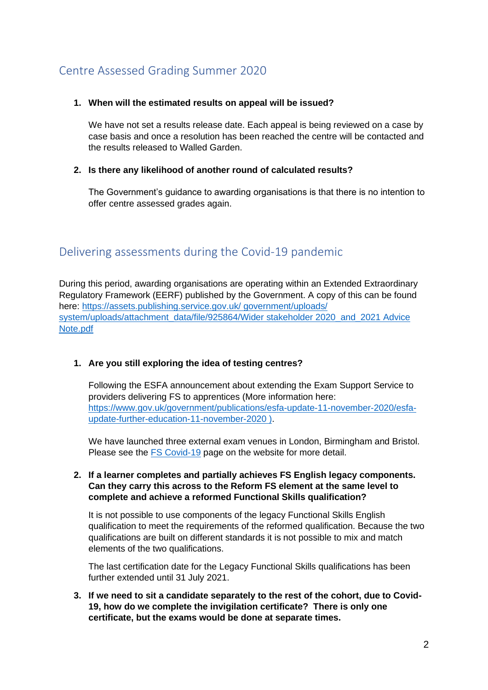# <span id="page-1-0"></span>Centre Assessed Grading Summer 2020

### **1. When will the estimated results on appeal will be issued?**

We have not set a results release date. Each appeal is being reviewed on a case by case basis and once a resolution has been reached the centre will be contacted and the results released to Walled Garden.

### **2. Is there any likelihood of another round of calculated results?**

The Government's guidance to awarding organisations is that there is no intention to offer centre assessed grades again.

## <span id="page-1-1"></span>Delivering assessments during the Covid-19 pandemic

During this period, awarding organisations are operating within an Extended Extraordinary Regulatory Framework (EERF) published by the Government. A copy of this can be found here: [https://assets.publishing.service.gov.uk/ government/uploads/](https://assets.publishing.service.gov.uk/%20government/uploads/%20system/uploads/attachment_data/file/925864/Wider%20stakeholder%202020_and_2021%20Advice%20Note.pdf)  system/uploads/attachment\_data/file/925864/Wider stakeholder 2020\_and\_2021 Advice [Note.pdf](https://assets.publishing.service.gov.uk/%20government/uploads/%20system/uploads/attachment_data/file/925864/Wider%20stakeholder%202020_and_2021%20Advice%20Note.pdf) 

### **1. Are you still exploring the idea of testing centres?**

Following the ESFA announcement about extending the Exam Support Service to providers delivering FS to apprentices (More information here: [https://www.gov.uk/government/publications/esfa-update-11-november-2020/esfa](https://www.gov.uk/government/publications/esfa-update-11-november-2020/esfa-update-further-education-11-november-2020%20))[update-further-education-11-november-2020 \).](https://www.gov.uk/government/publications/esfa-update-11-november-2020/esfa-update-further-education-11-november-2020%20))

We have launched three external exam venues in London, Birmingham and Bristol. Please see the [FS Covid-19](https://www.cityandguilds.com/covid-19/functional-skills) page on the website for more detail.

### **2. If a learner completes and partially achieves FS English legacy components. Can they carry this across to the Reform FS element at the same level to complete and achieve a reformed Functional Skills qualification?**

It is not possible to use components of the legacy Functional Skills English qualification to meet the requirements of the reformed qualification. Because the two qualifications are built on different standards it is not possible to mix and match elements of the two qualifications.

The last certification date for the Legacy Functional Skills qualifications has been further extended until 31 July 2021.

**3. If we need to sit a candidate separately to the rest of the cohort, due to Covid-19, how do we complete the invigilation certificate? There is only one certificate, but the exams would be done at separate times.**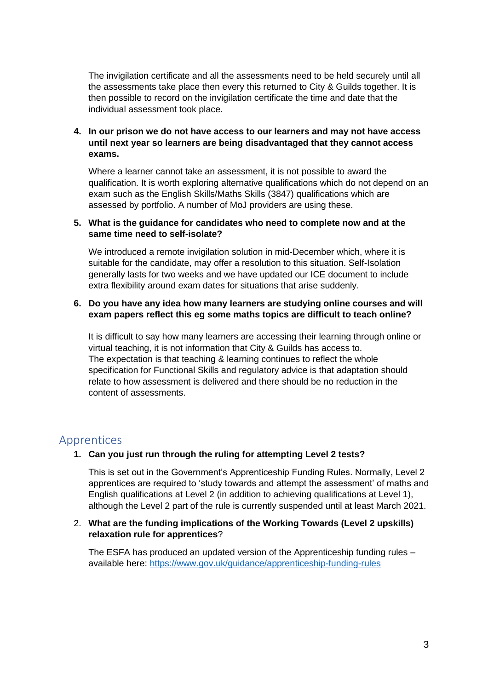The invigilation certificate and all the assessments need to be held securely until all the assessments take place then every this returned to City & Guilds together. It is then possible to record on the invigilation certificate the time and date that the individual assessment took place.

### **4. In our prison we do not have access to our learners and may not have access until next year so learners are being disadvantaged that they cannot access exams.**

Where a learner cannot take an assessment, it is not possible to award the qualification. It is worth exploring alternative qualifications which do not depend on an exam such as the English Skills/Maths Skills (3847) qualifications which are assessed by portfolio. A number of MoJ providers are using these.

### **5. What is the guidance for candidates who need to complete now and at the same time need to self-isolate?**

We introduced a remote invigilation solution in mid-December which, where it is suitable for the candidate, may offer a resolution to this situation. Self-Isolation generally lasts for two weeks and we have updated our ICE document to include extra flexibility around exam dates for situations that arise suddenly.

### **6. Do you have any idea how many learners are studying online courses and will exam papers reflect this eg some maths topics are difficult to teach online?**

It is difficult to say how many learners are accessing their learning through online or virtual teaching, it is not information that City & Guilds has access to. The expectation is that teaching & learning continues to reflect the whole specification for Functional Skills and regulatory advice is that adaptation should relate to how assessment is delivered and there should be no reduction in the content of assessments.

### <span id="page-2-0"></span>Apprentices

### **1. Can you just run through the ruling for attempting Level 2 tests?**

This is set out in the Government's Apprenticeship Funding Rules. Normally, Level 2 apprentices are required to 'study towards and attempt the assessment' of maths and English qualifications at Level 2 (in addition to achieving qualifications at Level 1), although the Level 2 part of the rule is currently suspended until at least March 2021.

### 2. **What are the funding implications of the Working Towards (Level 2 upskills) relaxation rule for apprentices**?

The ESFA has produced an updated version of the Apprenticeship funding rules – available here:<https://www.gov.uk/guidance/apprenticeship-funding-rules>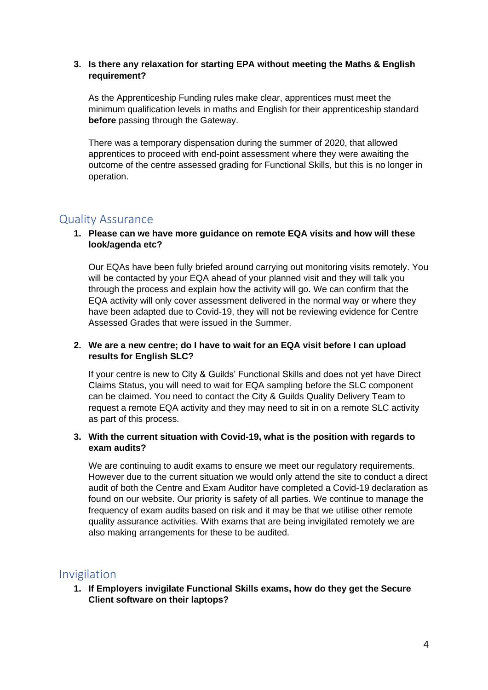### **3. Is there any relaxation for starting EPA without meeting the Maths & English requirement?**

As the Apprenticeship Funding rules make clear, apprentices must meet the minimum qualification levels in maths and English for their apprenticeship standard **before** passing through the Gateway.

There was a temporary dispensation during the summer of 2020, that allowed apprentices to proceed with end-point assessment where they were awaiting the outcome of the centre assessed grading for Functional Skills, but this is no longer in operation.

## <span id="page-3-0"></span>Quality Assurance

### **1. Please can we have more guidance on remote EQA visits and how will these look/agenda etc?**

Our EQAs have been fully briefed around carrying out monitoring visits remotely. You will be contacted by your EQA ahead of your planned visit and they will talk you through the process and explain how the activity will go. We can confirm that the EQA activity will only cover assessment delivered in the normal way or where they have been adapted due to Covid-19, they will not be reviewing evidence for Centre Assessed Grades that were issued in the Summer.

### **2. We are a new centre; do I have to wait for an EQA visit before I can upload results for English SLC?**

If your centre is new to City & Guilds' Functional Skills and does not yet have Direct Claims Status, you will need to wait for EQA sampling before the SLC component can be claimed. You need to contact the City & Guilds Quality Delivery Team to request a remote EQA activity and they may need to sit in on a remote SLC activity as part of this process.

### **3. With the current situation with Covid-19, what is the position with regards to exam audits?**

We are continuing to audit exams to ensure we meet our requiatory requirements. However due to the current situation we would only attend the site to conduct a direct audit of both the Centre and Exam Auditor have completed a Covid-19 declaration as found on our website. Our priority is safety of all parties. We continue to manage the frequency of exam audits based on risk and it may be that we utilise other remote quality assurance activities. With exams that are being invigilated remotely we are also making arrangements for these to be audited.

### <span id="page-3-1"></span>Invigilation

**1. If Employers invigilate Functional Skills exams, how do they get the Secure Client software on their laptops?**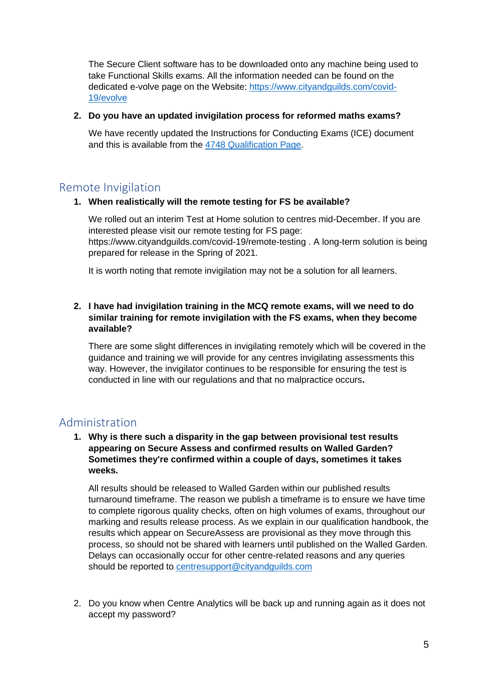The Secure Client software has to be downloaded onto any machine being used to take Functional Skills exams. All the information needed can be found on the dedicated e-volve page on the Website: [https://www.cityandguilds.com/covid-](https://www.cityandguilds.com/covid-19/evolve)[19/evolve](https://www.cityandguilds.com/covid-19/evolve)

#### **2. Do you have an updated invigilation process for reformed maths exams?**

We have recently updated the Instructions for Conducting Exams (ICE) document and this is available from the [4748 Qualification Page.](https://www.cityandguilds.com/qualifications-and-apprenticeships/skills-for-work-and-life/english-mathematics-and-ict-skills/4748-functional-skills#tab=documents)

### <span id="page-4-0"></span>Remote Invigilation

### **1. When realistically will the remote testing for FS be available?**

We rolled out an interim Test at Home solution to centres mid-December. If you are interested please visit our remote testing for FS page: https://www.cityandguilds.com/covid-19/remote-testing . A long-term solution is being prepared for release in the Spring of 2021.

It is worth noting that remote invigilation may not be a solution for all learners.

### **2. I have had invigilation training in the MCQ remote exams, will we need to do similar training for remote invigilation with the FS exams, when they become available?**

There are some slight differences in invigilating remotely which will be covered in the guidance and training we will provide for any centres invigilating assessments this way. However, the invigilator continues to be responsible for ensuring the test is conducted in line with our regulations and that no malpractice occurs**.**

### <span id="page-4-1"></span>Administration

### **1. Why is there such a disparity in the gap between provisional test results appearing on Secure Assess and confirmed results on Walled Garden? Sometimes they're confirmed within a couple of days, sometimes it takes weeks.**

All results should be released to Walled Garden within our published results turnaround timeframe. The reason we publish a timeframe is to ensure we have time to complete rigorous quality checks, often on high volumes of exams, throughout our marking and results release process. As we explain in our qualification handbook, the results which appear on SecureAssess are provisional as they move through this process, so should not be shared with learners until published on the Walled Garden. Delays can occasionally occur for other centre-related reasons and any queries should be reported to [centresupport@cityandguilds.com](mailto:centresupport@cityandguilds.com)

2. Do you know when Centre Analytics will be back up and running again as it does not accept my password?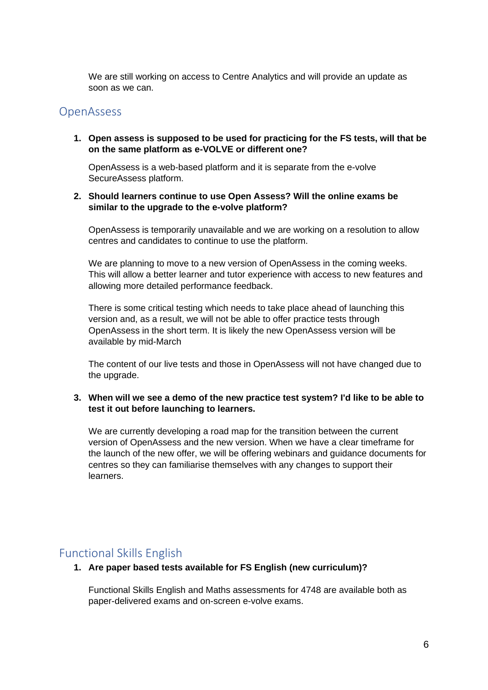We are still working on access to Centre Analytics and will provide an update as soon as we can.

### <span id="page-5-0"></span>**OpenAssess**

**1. Open assess is supposed to be used for practicing for the FS tests, will that be on the same platform as e-VOLVE or different one?**

OpenAssess is a web-based platform and it is separate from the e-volve SecureAssess platform.

### **2. Should learners continue to use Open Assess? Will the online exams be similar to the upgrade to the e-volve platform?**

OpenAssess is temporarily unavailable and we are working on a resolution to allow centres and candidates to continue to use the platform.

We are planning to move to a new version of OpenAssess in the coming weeks. This will allow a better learner and tutor experience with access to new features and allowing more detailed performance feedback.

There is some critical testing which needs to take place ahead of launching this version and, as a result, we will not be able to offer practice tests through OpenAssess in the short term. It is likely the new OpenAssess version will be available by mid-March

The content of our live tests and those in OpenAssess will not have changed due to the upgrade.

**3. When will we see a demo of the new practice test system? I'd like to be able to test it out before launching to learners.**

We are currently developing a road map for the transition between the current version of OpenAssess and the new version. When we have a clear timeframe for the launch of the new offer, we will be offering webinars and guidance documents for centres so they can familiarise themselves with any changes to support their learners.

### <span id="page-5-1"></span>Functional Skills English

**1. Are paper based tests available for FS English (new curriculum)?**

Functional Skills English and Maths assessments for 4748 are available both as paper-delivered exams and on-screen e-volve exams.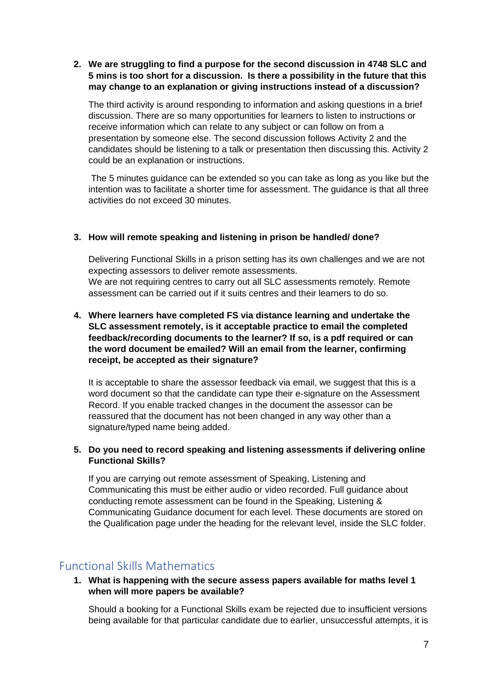### **2. We are struggling to find a purpose for the second discussion in 4748 SLC and 5 mins is too short for a discussion. Is there a possibility in the future that this may change to an explanation or giving instructions instead of a discussion?**

The third activity is around responding to information and asking questions in a brief discussion. There are so many opportunities for learners to listen to instructions or receive information which can relate to any subject or can follow on from a presentation by someone else. The second discussion follows Activity 2 and the candidates should be listening to a talk or presentation then discussing this. Activity 2 could be an explanation or instructions.

The 5 minutes guidance can be extended so you can take as long as you like but the intention was to facilitate a shorter time for assessment. The guidance is that all three activities do not exceed 30 minutes.

### **3. How will remote speaking and listening in prison be handled/ done?**

Delivering Functional Skills in a prison setting has its own challenges and we are not expecting assessors to deliver remote assessments. We are not requiring centres to carry out all SLC assessments remotely. Remote assessment can be carried out if it suits centres and their learners to do so.

### **4. Where learners have completed FS via distance learning and undertake the SLC assessment remotely, is it acceptable practice to email the completed feedback/recording documents to the learner? If so, is a pdf required or can the word document be emailed? Will an email from the learner, confirming receipt, be accepted as their signature?**

It is acceptable to share the assessor feedback via email, we suggest that this is a word document so that the candidate can type their e-signature on the Assessment Record. If you enable tracked changes in the document the assessor can be reassured that the document has not been changed in any way other than a signature/typed name being added.

### **5. Do you need to record speaking and listening assessments if delivering online Functional Skills?**

If you are carrying out remote assessment of Speaking, Listening and Communicating this must be either audio or video recorded. Full guidance about conducting remote assessment can be found in the Speaking, Listening & Communicating Guidance document for each level. These documents are stored on the Qualification page under the heading for the relevant level, inside the SLC folder.

## <span id="page-6-0"></span>Functional Skills Mathematics

**1. What is happening with the secure assess papers available for maths level 1 when will more papers be available?**

Should a booking for a Functional Skills exam be rejected due to insufficient versions being available for that particular candidate due to earlier, unsuccessful attempts, it is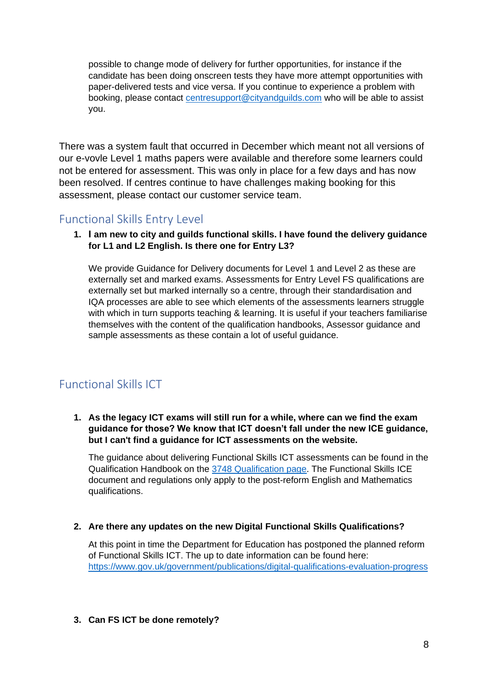possible to change mode of delivery for further opportunities, for instance if the candidate has been doing onscreen tests they have more attempt opportunities with paper-delivered tests and vice versa. If you continue to experience a problem with booking, please contact [centresupport@cityandguilds.com](mailto:centresupport@cityandguilds.com) who will be able to assist you.

There was a system fault that occurred in December which meant not all versions of our e-vovle Level 1 maths papers were available and therefore some learners could not be entered for assessment. This was only in place for a few days and has now been resolved. If centres continue to have challenges making booking for this assessment, please contact our customer service team.

## <span id="page-7-0"></span>Functional Skills Entry Level

**1. I am new to city and guilds functional skills. I have found the delivery guidance for L1 and L2 English. Is there one for Entry L3?**

We provide Guidance for Delivery documents for Level 1 and Level 2 as these are externally set and marked exams. Assessments for Entry Level FS qualifications are externally set but marked internally so a centre, through their standardisation and IQA processes are able to see which elements of the assessments learners struggle with which in turn supports teaching & learning. It is useful if your teachers familiarise themselves with the content of the qualification handbooks, Assessor guidance and sample assessments as these contain a lot of useful guidance.

## <span id="page-7-1"></span>Functional Skills ICT

### **1. As the legacy ICT exams will still run for a while, where can we find the exam guidance for those? We know that ICT doesn't fall under the new ICE guidance, but I can't find a guidance for ICT assessments on the website.**

The guidance about delivering Functional Skills ICT assessments can be found in the Qualification Handbook on the [3748 Qualification page.](https://www.cityandguilds.com/qualifications-and-apprenticeships/skills-for-work-and-life/english-mathematics-and-ict-skills/3748-legacy-functional-skills-qualifications#tab=documents) The Functional Skills ICE document and regulations only apply to the post-reform English and Mathematics qualifications.

### **2. Are there any updates on the new Digital Functional Skills Qualifications?**

At this point in time the Department for Education has postponed the planned reform of Functional Skills ICT. The up to date information can be found here: <https://www.gov.uk/government/publications/digital-qualifications-evaluation-progress>

### **3. Can FS ICT be done remotely?**